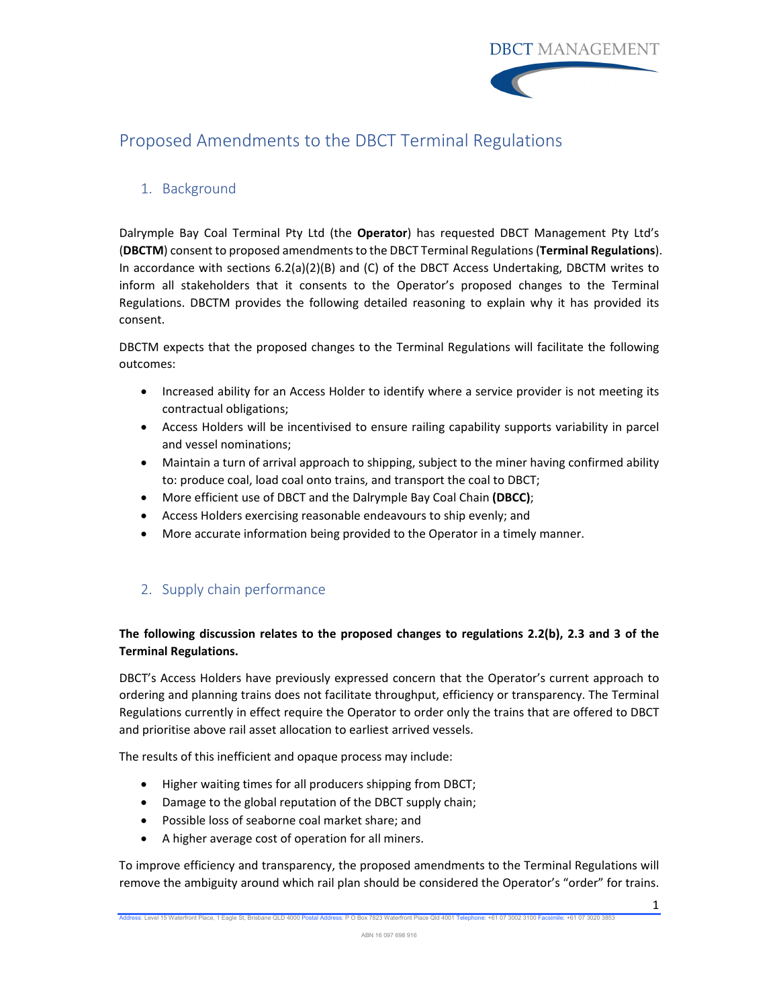

# Proposed Amendments to the DBCT Terminal Regulations

# 1. Background

Dalrymple Bay Coal Terminal Pty Ltd (the **Operator**) has requested DBCT Management Pty Ltd's (**DBCTM**) consent to proposed amendmentsto the DBCT Terminal Regulations (**Terminal Regulations**). In accordance with sections 6.2(a)(2)(B) and (C) of the DBCT Access Undertaking, DBCTM writes to inform all stakeholders that it consents to the Operator's proposed changes to the Terminal Regulations. DBCTM provides the following detailed reasoning to explain why it has provided its consent.

DBCTM expects that the proposed changes to the Terminal Regulations will facilitate the following outcomes:

- Increased ability for an Access Holder to identify where a service provider is not meeting its contractual obligations;
- Access Holders will be incentivised to ensure railing capability supports variability in parcel and vessel nominations;
- Maintain a turn of arrival approach to shipping, subject to the miner having confirmed ability to: produce coal, load coal onto trains, and transport the coal to DBCT;
- More efficient use of DBCT and the Dalrymple Bay Coal Chain **(DBCC)**;
- Access Holders exercising reasonable endeavours to ship evenly; and
- More accurate information being provided to the Operator in a timely manner.

# 2. Supply chain performance

# **The following discussion relates to the proposed changes to regulations 2.2(b), 2.3 and 3 of the Terminal Regulations.**

DBCT's Access Holders have previously expressed concern that the Operator's current approach to ordering and planning trains does not facilitate throughput, efficiency or transparency. The Terminal Regulations currently in effect require the Operator to order only the trains that are offered to DBCT and prioritise above rail asset allocation to earliest arrived vessels.

The results of this inefficient and opaque process may include:

- Higher waiting times for all producers shipping from DBCT;
- Damage to the global reputation of the DBCT supply chain;
- Possible loss of seaborne coal market share; and
- A higher average cost of operation for all miners.

To improve efficiency and transparency, the proposed amendments to the Terminal Regulations will remove the ambiguity around which rail plan should be considered the Operator's "order" for trains.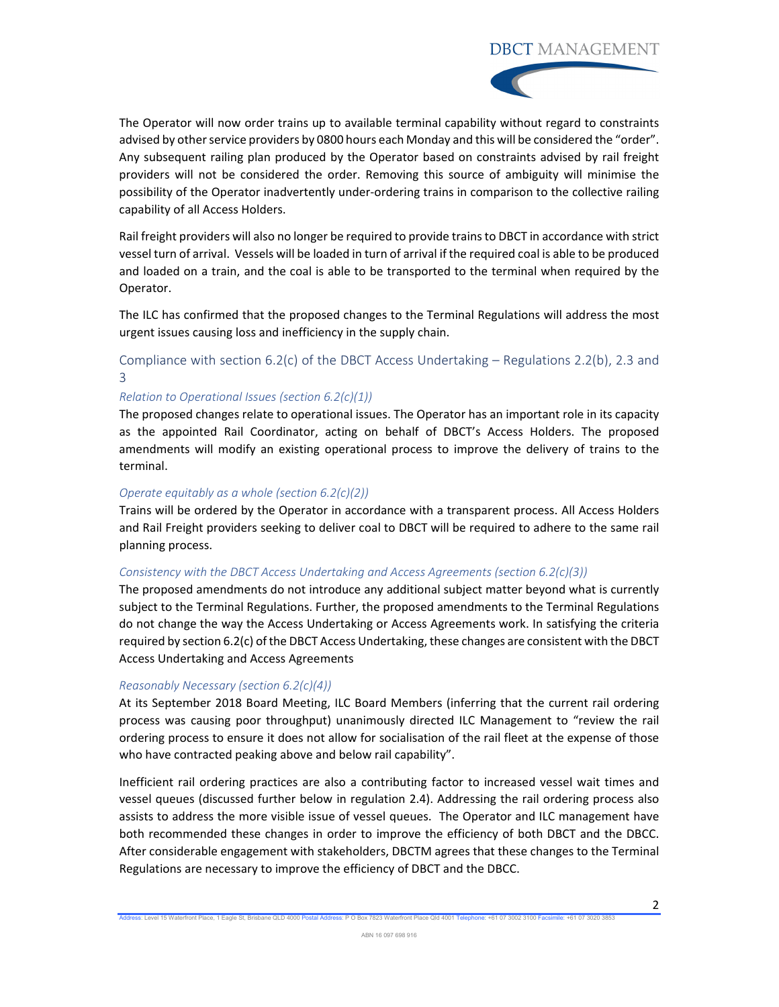# **DBCT MANAGEMENT**



The Operator will now order trains up to available terminal capability without regard to constraints advised by other service providers by 0800 hours each Monday and this will be considered the "order". Any subsequent railing plan produced by the Operator based on constraints advised by rail freight providers will not be considered the order. Removing this source of ambiguity will minimise the possibility of the Operator inadvertently under-ordering trains in comparison to the collective railing capability of all Access Holders.

Rail freight providers will also no longer be required to provide trainsto DBCT in accordance with strict vessel turn of arrival. Vessels will be loaded in turn of arrival if the required coal is able to be produced and loaded on a train, and the coal is able to be transported to the terminal when required by the Operator.

The ILC has confirmed that the proposed changes to the Terminal Regulations will address the most urgent issues causing loss and inefficiency in the supply chain.

### Compliance with section 6.2(c) of the DBCT Access Undertaking – Regulations 2.2(b), 2.3 and 3

### *Relation to Operational Issues (section 6.2(c)(1))*

The proposed changes relate to operational issues. The Operator has an important role in its capacity as the appointed Rail Coordinator, acting on behalf of DBCT's Access Holders. The proposed amendments will modify an existing operational process to improve the delivery of trains to the terminal.

### *Operate equitably as a whole (section 6.2(c)(2))*

Trains will be ordered by the Operator in accordance with a transparent process. All Access Holders and Rail Freight providers seeking to deliver coal to DBCT will be required to adhere to the same rail planning process.

### *Consistency with the DBCT Access Undertaking and Access Agreements (section 6.2(c)(3))*

The proposed amendments do not introduce any additional subject matter beyond what is currently subject to the Terminal Regulations. Further, the proposed amendments to the Terminal Regulations do not change the way the Access Undertaking or Access Agreements work. In satisfying the criteria required by section 6.2(c) of the DBCT Access Undertaking, these changes are consistent with the DBCT Access Undertaking and Access Agreements

### *Reasonably Necessary (section 6.2(c)(4))*

At its September 2018 Board Meeting, ILC Board Members (inferring that the current rail ordering process was causing poor throughput) unanimously directed ILC Management to "review the rail ordering process to ensure it does not allow for socialisation of the rail fleet at the expense of those who have contracted peaking above and below rail capability".

Inefficient rail ordering practices are also a contributing factor to increased vessel wait times and vessel queues (discussed further below in regulation 2.4). Addressing the rail ordering process also assists to address the more visible issue of vessel queues. The Operator and ILC management have both recommended these changes in order to improve the efficiency of both DBCT and the DBCC. After considerable engagement with stakeholders, DBCTM agrees that these changes to the Terminal Regulations are necessary to improve the efficiency of DBCT and the DBCC.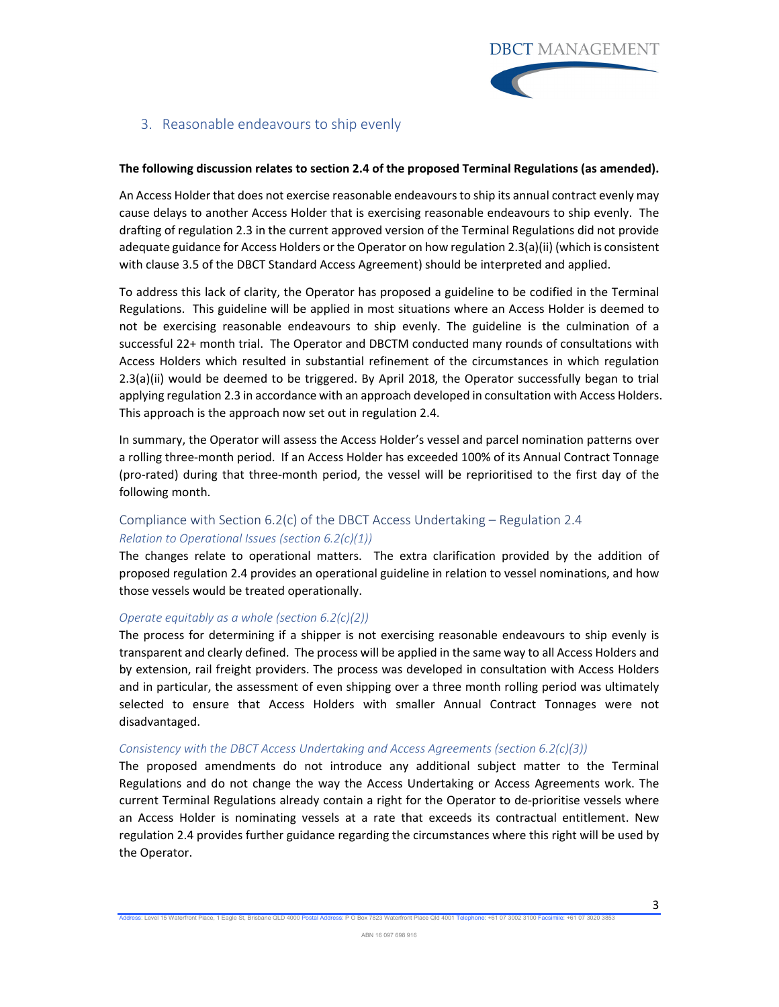### 3. Reasonable endeavours to ship evenly

### **The following discussion relates to section 2.4 of the proposed Terminal Regulations (as amended).**

<u>in the contract of the contract of the contract of the contract of the contract of the contract of the contract of the contract of the contract of the contract of the contract of the contract of the contract of the contra</u>

An Access Holder that does not exercise reasonable endeavoursto ship its annual contract evenly may cause delays to another Access Holder that is exercising reasonable endeavours to ship evenly. The drafting of regulation 2.3 in the current approved version of the Terminal Regulations did not provide adequate guidance for Access Holders or the Operator on how regulation 2.3(a)(ii) (which is consistent with clause 3.5 of the DBCT Standard Access Agreement) should be interpreted and applied.

To address this lack of clarity, the Operator has proposed a guideline to be codified in the Terminal Regulations. This guideline will be applied in most situations where an Access Holder is deemed to not be exercising reasonable endeavours to ship evenly. The guideline is the culmination of a successful 22+ month trial. The Operator and DBCTM conducted many rounds of consultations with Access Holders which resulted in substantial refinement of the circumstances in which regulation 2.3(a)(ii) would be deemed to be triggered. By April 2018, the Operator successfully began to trial applying regulation 2.3 in accordance with an approach developed in consultation with Access Holders. This approach is the approach now set out in regulation 2.4.

In summary, the Operator will assess the Access Holder's vessel and parcel nomination patterns over a rolling three‐month period. If an Access Holder has exceeded 100% of its Annual Contract Tonnage (pro‐rated) during that three‐month period, the vessel will be reprioritised to the first day of the following month.

# Compliance with Section 6.2(c) of the DBCT Access Undertaking – Regulation 2.4 *Relation to Operational Issues (section 6.2(c)(1))*

The changes relate to operational matters. The extra clarification provided by the addition of proposed regulation 2.4 provides an operational guideline in relation to vessel nominations, and how those vessels would be treated operationally.

#### *Operate equitably as a whole (section 6.2(c)(2))*

The process for determining if a shipper is not exercising reasonable endeavours to ship evenly is transparent and clearly defined. The process will be applied in the same way to all Access Holders and by extension, rail freight providers. The process was developed in consultation with Access Holders and in particular, the assessment of even shipping over a three month rolling period was ultimately selected to ensure that Access Holders with smaller Annual Contract Tonnages were not disadvantaged.

### *Consistency with the DBCT Access Undertaking and Access Agreements (section 6.2(c)(3))*

The proposed amendments do not introduce any additional subject matter to the Terminal Regulations and do not change the way the Access Undertaking or Access Agreements work. The current Terminal Regulations already contain a right for the Operator to de‐prioritise vessels where an Access Holder is nominating vessels at a rate that exceeds its contractual entitlement. New regulation 2.4 provides further guidance regarding the circumstances where this right will be used by the Operator.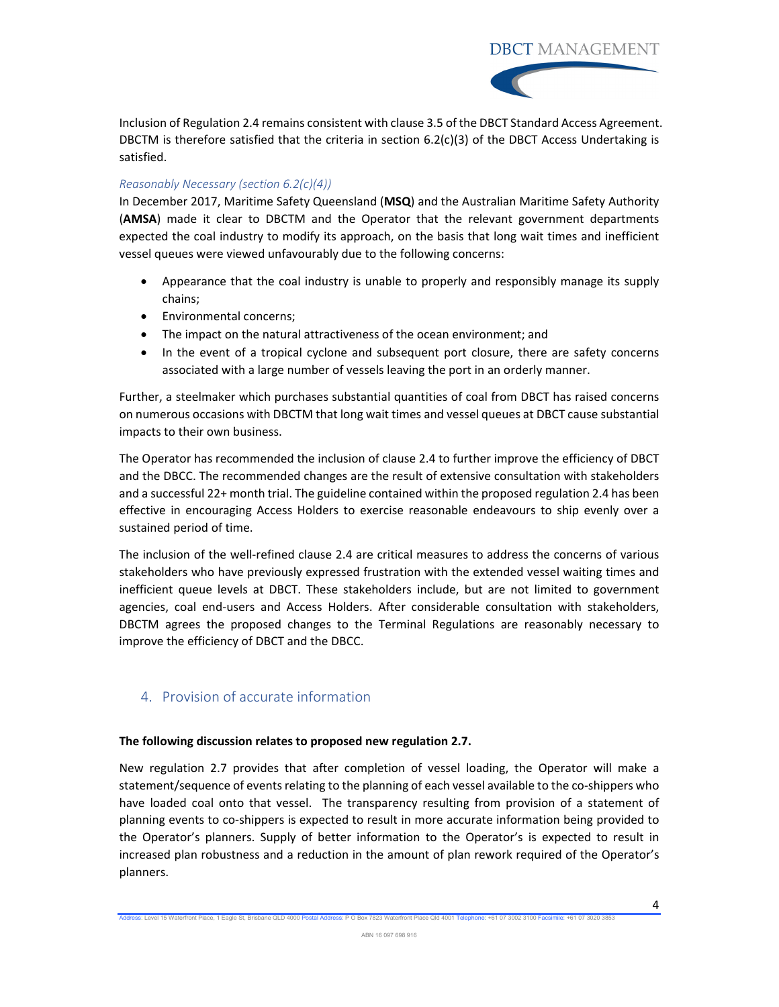**DBCT MANAGEMENT** 



Inclusion of Regulation 2.4 remains consistent with clause 3.5 of the DBCT Standard Access Agreement. DBCTM is therefore satisfied that the criteria in section  $6.2(c)(3)$  of the DBCT Access Undertaking is satisfied.

### *Reasonably Necessary (section 6.2(c)(4))*

In December 2017, Maritime Safety Queensland (**MSQ**) and the Australian Maritime Safety Authority (**AMSA**) made it clear to DBCTM and the Operator that the relevant government departments expected the coal industry to modify its approach, on the basis that long wait times and inefficient vessel queues were viewed unfavourably due to the following concerns:

- Appearance that the coal industry is unable to properly and responsibly manage its supply chains;
- **•** Environmental concerns;
- The impact on the natural attractiveness of the ocean environment; and
- In the event of a tropical cyclone and subsequent port closure, there are safety concerns associated with a large number of vessels leaving the port in an orderly manner.

Further, a steelmaker which purchases substantial quantities of coal from DBCT has raised concerns on numerous occasions with DBCTM that long wait times and vessel queues at DBCT cause substantial impacts to their own business.

The Operator has recommended the inclusion of clause 2.4 to further improve the efficiency of DBCT and the DBCC. The recommended changes are the result of extensive consultation with stakeholders and a successful 22+ month trial. The guideline contained within the proposed regulation 2.4 has been effective in encouraging Access Holders to exercise reasonable endeavours to ship evenly over a sustained period of time.

The inclusion of the well‐refined clause 2.4 are critical measures to address the concerns of various stakeholders who have previously expressed frustration with the extended vessel waiting times and inefficient queue levels at DBCT. These stakeholders include, but are not limited to government agencies, coal end‐users and Access Holders. After considerable consultation with stakeholders, DBCTM agrees the proposed changes to the Terminal Regulations are reasonably necessary to improve the efficiency of DBCT and the DBCC.

# 4. Provision of accurate information

### **The following discussion relates to proposed new regulation 2.7.**

New regulation 2.7 provides that after completion of vessel loading, the Operator will make a statement/sequence of events relating to the planning of each vessel available to the co-shippers who have loaded coal onto that vessel. The transparency resulting from provision of a statement of planning events to co‐shippers is expected to result in more accurate information being provided to the Operator's planners. Supply of better information to the Operator's is expected to result in increased plan robustness and a reduction in the amount of plan rework required of the Operator's planners.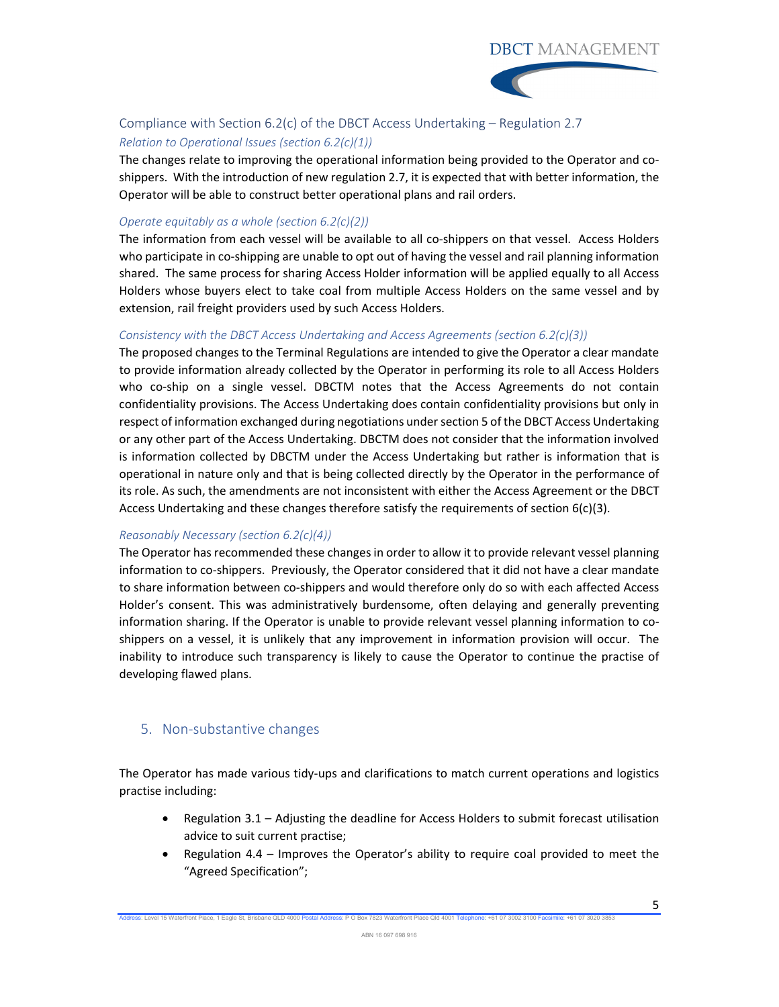



## Compliance with Section 6.2(c) of the DBCT Access Undertaking – Regulation 2.7 *Relation to Operational Issues (section 6.2(c)(1))*

The changes relate to improving the operational information being provided to the Operator and co‐ shippers. With the introduction of new regulation 2.7, it is expected that with better information, the Operator will be able to construct better operational plans and rail orders.

### *Operate equitably as a whole (section 6.2(c)(2))*

The information from each vessel will be available to all co-shippers on that vessel. Access Holders who participate in co‐shipping are unable to opt out of having the vessel and rail planning information shared. The same process for sharing Access Holder information will be applied equally to all Access Holders whose buyers elect to take coal from multiple Access Holders on the same vessel and by extension, rail freight providers used by such Access Holders.

### *Consistency with the DBCT Access Undertaking and Access Agreements (section 6.2(c)(3))*

The proposed changes to the Terminal Regulations are intended to give the Operator a clear mandate to provide information already collected by the Operator in performing its role to all Access Holders who co-ship on a single vessel. DBCTM notes that the Access Agreements do not contain confidentiality provisions. The Access Undertaking does contain confidentiality provisions but only in respect of information exchanged during negotiations undersection 5 of the DBCT Access Undertaking or any other part of the Access Undertaking. DBCTM does not consider that the information involved is information collected by DBCTM under the Access Undertaking but rather is information that is operational in nature only and that is being collected directly by the Operator in the performance of its role. As such, the amendments are not inconsistent with either the Access Agreement or the DBCT Access Undertaking and these changes therefore satisfy the requirements of section 6(c)(3).

### *Reasonably Necessary (section 6.2(c)(4))*

The Operator has recommended these changes in order to allow it to provide relevant vessel planning information to co‐shippers. Previously, the Operator considered that it did not have a clear mandate to share information between co-shippers and would therefore only do so with each affected Access Holder's consent. This was administratively burdensome, often delaying and generally preventing information sharing. If the Operator is unable to provide relevant vessel planning information to coshippers on a vessel, it is unlikely that any improvement in information provision will occur. The inability to introduce such transparency is likely to cause the Operator to continue the practise of developing flawed plans.

# 5. Non‐substantive changes

The Operator has made various tidy‐ups and clarifications to match current operations and logistics practise including:

- Regulation 3.1 Adjusting the deadline for Access Holders to submit forecast utilisation advice to suit current practise;
- Regulation 4.4 Improves the Operator's ability to require coal provided to meet the "Agreed Specification";